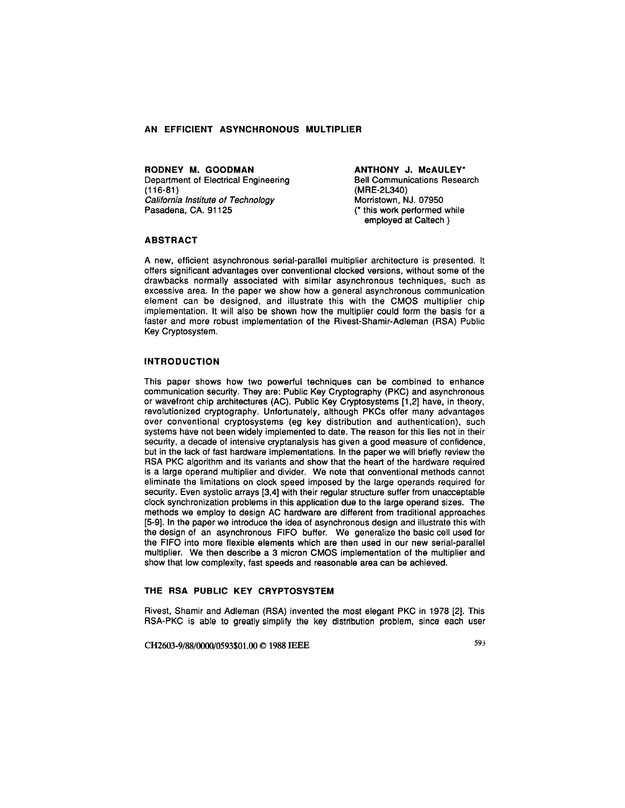# **AN EFFICIENT ASYNCHRONOUS MULTIPLIER**

**RODNEY M. GOODMAN**  Department of Electrical Engineering (116-81) California Institute of Technology Pasadena, CA. 91125

**ANTHONY J. McAULEV\***  Bell Communications Research (MRE-2L340) Morristown, NJ. 07950 (\* this work performed while employed at Caltech )

#### **ABSTRACT**

A new, efficient asynchronous serial-parallel multiplier architecture is presented. It offers significant advantages over conventional clocked versions, without some of the drawbacks normally associated with similar asynchronous techniques, such as excessive area. In the paper we show how a general asynchronous communication element can be designed, and illustrate this with the CMOS multiplier chip implementation. It will also be shown how the multiplier could form the basis for a faster and more robust implementation of the Rivest-Shamir-Adleman (RSA) Public Key Cryptosystem.

### **INTRODUCTION**

This paper shows how two powerful techniques can be combined to enhance communication security. They are: Public Key Cryptography (PKC) and asynchronous or wavefront chip architectures (AC). Public Key Cryptosystems [1,2] have, in theory, revolutionized cryptography. Unfortunately, although PKCs offer many advantages over conventional cryptosystems (eg key distribution and authentication), such systems have not been widely implemented to date. The reason for this lies not in their security, a decade of intensive cryptanalysis has given a good measure of confidence, but in the lack of fast hardware implementations. In the paper we will briefly review the RSA PKC algorithm and its variants and show that the heart of the hardware required is a large operand multiplier and divider. We note that conventional methods cannot eliminate the limitations on clock speed imposed by the large operands required for security. Even systolic arrays [3,4] with their regular structure suffer from unacceptable clock synchronization problems in this application due to the large operand sizes. The methods we employ to design AC hardware are different from traditional approaches [5-9]. In the paper we introduce the idea of asynchronous design and illustrate this with the design of an asynchronous FIFO buffer. We generalize the basic cell used for the FIFO into more flexible elements which are then used in our new serial-parallel multiplier. We then describe a 3 micron CMOS implementation of the multiplier and show that low complexity, fast speeds and reasonable area can be achieved.

# **THE RSA PUBLIC KEV CRVPTOSVSTEM**

Rivest, Shamir and Adleman (RSA) invented the most elegant PKC in 1978 [2]. This RSA-PKC is able to greatly simplify the key distribution problem, since each user

CH2603-9/88/0000/0593\$01.00 © 1988 IEEE 593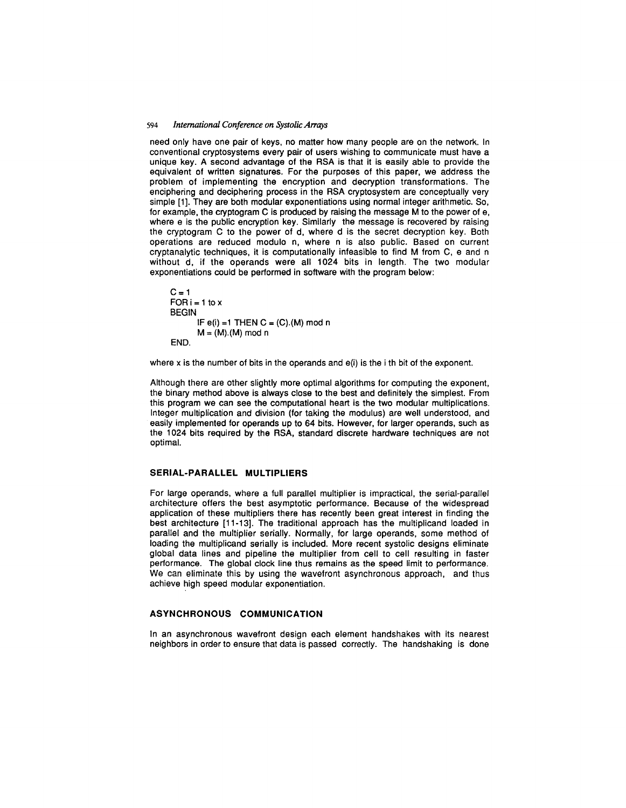#### 594 International Conference on Systolic Arrays

need only have one pair of keys, no matter how many people are on the network. In conventional cryptosystems every pair of users wishing to communicate must have a unique key. A second advantage of the RSA is that it is easily able to provide the equivalent of written signatures. For the purposes of this paper, we address the problem of implementing the encryption and decryption transformations. The enciphering and deciphering process in the RSA cryptosystem are conceptually very simple [1]. They are both modular exponentiations using normal integer arithmetic. So, for example, the cryptogram C is produced by raising the message M to the power of e, where e is the public encryption key. Similarly the message is recovered by raising the cryptogram C to the power of d, where d is the secret decryption key. Both operations are reduced modulo n, where n is also public. Based on current cryptanalytic techniques, it is computationally infeasible to find M from C, e and n without d, if the operands were all 1024 bits in length. The two modular exponentiations could be performed in software with the program below:

```
C = 1FOR i = 1 to x
BEGIN 
END. 
       IF e(i) = 1 THEN C = (C). (M) mod n
       M = (M).(M) mod n
```
where x is the number of bits in the operands and  $e(i)$  is the i th bit of the exponent.

Although there are other slightly more optimal algorithms for computing the exponent, the binary method above is always close to the best and definitely the simplest. From this program we can see the computational heart is the two modular multiplications. Integer multiplication and division (for taking the modulus) are well understood, and easily implemented for operands up to 64 bits. However, for larger operands, such as the 1024 bits required by the RSA, standard discrete hardware techniques are not optimal.

# **SERIAL-PARALLEL MULTIPLIERS**

For large operands, where a full parallel multiplier is impractical, the serial-parallel architecture offers the best asymptotic performance. Because of the widespread application of these multipliers there has recently been great interest in finding the best architecture [11-13]. The traditional approach has the multiplicand loaded in parallel and the multiplier serially. Normally, for large operands, some method of loading the multiplicand serially is included. More recent systolic designs eliminate global data lines and pipeline the multiplier from cell to cell resulting in faster performance. The global clock line thus remains as the speed limit to performance. We can eliminate this by using the wavefront asynchronous approach, and thus achieve high speed modular exponentiation.

### **ASYNCHRONOUS COMMUNICATION**

In an asynchronous wavefront design each element handshakes with its nearest neighbors in order to ensure that data is passed correctly. The handshaking is done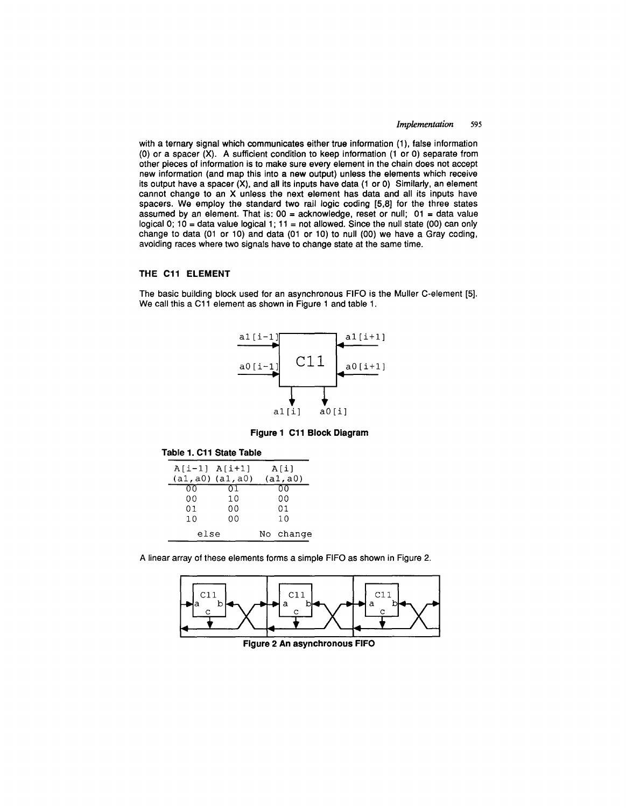### *Implementation 595*

with a ternary signal which communicates either true information (1), false information (0) or a spacer (X). **A** sufficient condition to keep information (1 or 0) separate from other pieces of information is to make sure every element in the chain does not accept new information (and map this into a new output) unless the elements which receive its output have a spacer **(X),** and all its inputs have data (1 or 0) Similarly, an element cannot change to an X unless the next element has data and all its inputs have spacers. We employ the standard two rail logic coding [5,8] for the three states assumed by an element. That is:  $00 =$  acknowledge, reset or null;  $01 =$  data value logical 0;  $10 =$  data value logical 1;  $11 =$  not allowed. Since the null state (00) can only change to data (01 or 10) and data (01 or 10) to null (00) we have a Gray coding, avoiding races where two signals have to change state at the same time.

### **THE C11 ELEMENT**

The basic building block used for an asynchronous FIFO is the Muller C-element [5]. We call this a C11 element as shown in Figure 1 and table 1.



**Figure 1 C11 Block Diagram** 

#### **Table 1. C11 State Table**

| $A[i-1]$ $A[i+1]$     |           | A[i]     |  |
|-----------------------|-----------|----------|--|
| $(a1, a0)$ $(a1, a0)$ |           | (a1, a0) |  |
| იი                    | 71        | oσ       |  |
| 00                    | 10        | 00       |  |
| 01                    | 00        | 01       |  |
| 10                    | 00        | 10       |  |
| else                  | No change |          |  |

A linear array of these elements forms a simple FIFO as shown in Figure 2.



**Figure 2 An asynchronous FIFO**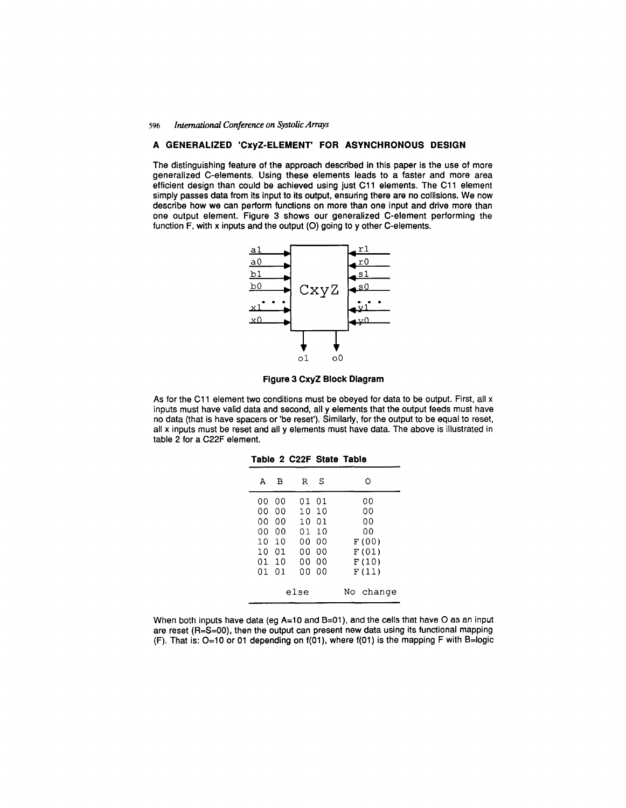#### 596 *International Conference on Systolic Arrays*

# **A GENERALIZED 'CxyZ-ELEMENT' FOR ASYNCHRONOUS DESIGN**

The distinguishing feature of the approach described in this paper is the use of more generalized C-elements. Using these elements leads to a faster and more area efficient design than could be achieved using just C11 elements. The C11 element simply passes data from its input to its output, ensuring there are no collisions. We now describe how we can perform functions on more than one input and drive more than one output element. Figure 3 shows our generalized C-element performing the function F, with x inputs and the output (O) going to y other C-elements.



**Figure 3 CxyZ Block Diagram** 

As for the C11 element two conditions must be obeyed for data to be output. First, all x inputs must have valid data and second, all y elements that the output feeds must have no data (that is have spacers or 'be reset'). Similarly, for the output to be equal to reset, all x inputs must be reset and ally elements must have data. The above is illustrated in table 2 for a C22F element.

|      | А  | в  | R     | S              | Ω      |
|------|----|----|-------|----------------|--------|
|      | 00 | 00 |       | 01 01          | 00     |
|      | o٥ | იი | 10.   | 10             | OΟ     |
|      | o٥ | 00 | 10 01 |                | 00     |
|      | ΩO | 00 | 01    | 10             | 00     |
|      | 10 | 10 | 00 -  | 00             | F (00) |
|      | 10 | 01 | nn.   | იი             | F (01) |
|      | 01 | 10 | 00    | 00             | F(10)  |
|      | 01 | 01 | 00.   | 0 <sub>0</sub> | F(11)  |
|      |    |    |       |                |        |
| else |    |    |       | change<br>No   |        |
|      |    |    |       |                |        |

**Table 2 C22F State Table** 

When both inputs have data (eg A=10 and B=01), and the cells that have O as an input are reset  $(R=S=00)$ , then the output can present new data using its functional mapping (F). That is: 0=10 or 01 depending on f(01 ), where f(01) is the mapping F with B=logic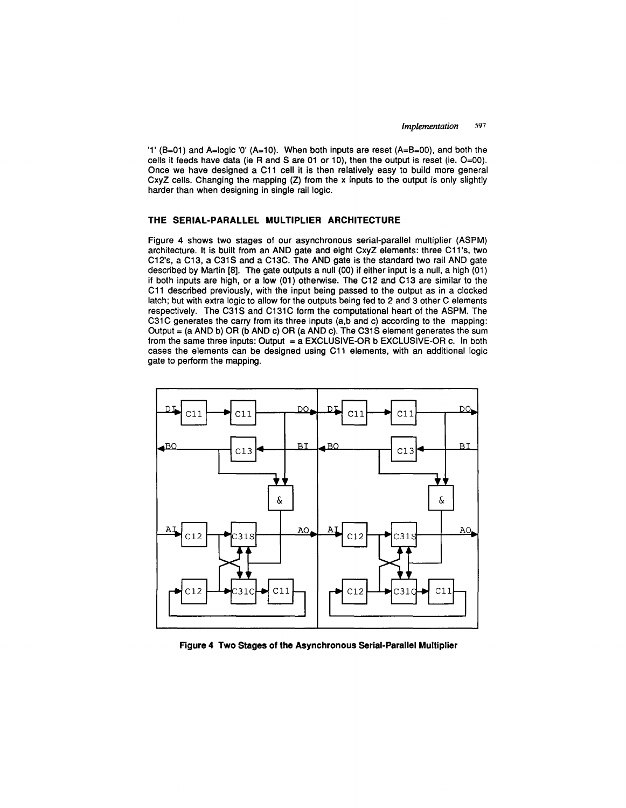'1'  $(B=01)$  and A=logic '0'  $(A=10)$ . When both inputs are reset  $(A=B=00)$ , and both the cells it feeds have data (ie R and S are 01 or 10), then the output is reset (ie.  $O=00$ ). Once we have designed a C11 cell it is then relatively easy to build more general CxyZ cells. Changing the mapping (Z) from the x inputs to the output is only slightly harder than when designing in single rail logic.

## **THE SERIAL-PARALLEL MULTIPLIER ARCHITECTURE**

Figure 4 shows two stages of our asynchronous serial-parallel multiplier (ASPM) architecture. It is built from an AND gate and eight CxyZ elements: three C11 's, two C12's, a C13, a C31S and a C13C. The AND gate is the standard two rail AND gate described by Martin [8]. The gate outputs a null (00) if either input is a null, a high (01) if both inputs are high, or a low (01) otherwise. The C12 and C13 are similar to the C11 described previously, with the input being passed to the output as in a clocked latch; but with extra logic to allow for the outputs being fed to 2 and 3 other C elements respectively. The C31S and C131C form the computational heart of the ASPM. The C31C generates the carry from its three inputs (a,b and c) according to the mapping: Output = (a AND b) OR (b AND c) OR (a AND c). The C31S element generates the sum from the same three inputs: Output =  $a$  EXCLUSIVE-OR b EXCLUSIVE-OR c. In both cases the elements can be designed using C11 elements, with an additional logic gate to perform the mapping.



Figure **4 Two Stages of the Asynchronous Serial-Parallel** Multiplier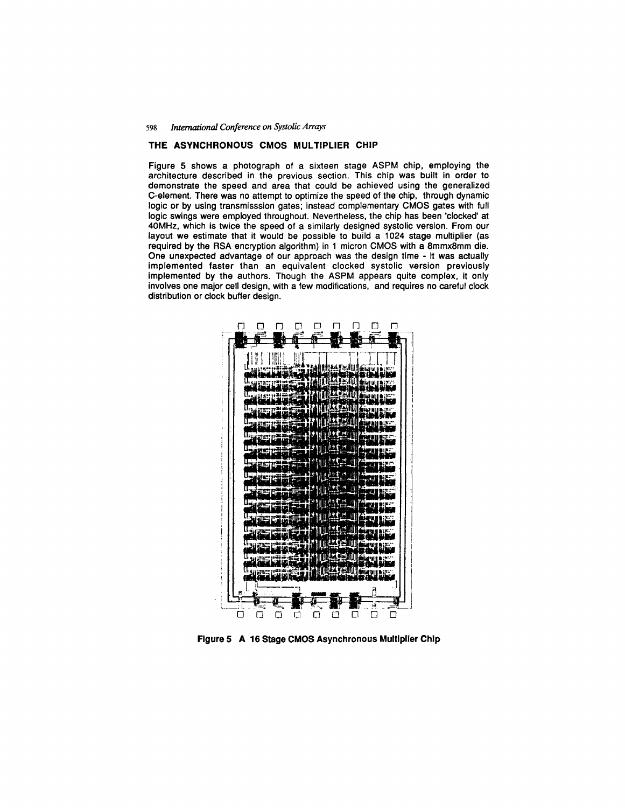#### 598 *International Conference on Systolic Arrays*

### **THE ASYNCHRONOUS CMOS MULTIPLIER CHIP**

Figure 5 shows a photograph of a sixteen stage ASPM chip, employing the architecture described in the previous section. This chip was built in order to demonstrate the speed and area that could be achieved using the generalized C-element. There was no attempt to optimize the speed of the chip, through dynamic logic or by using transmisssion gates; instead complementary CMOS gates with full logic swings were employed throughout. Nevertheless, the chip has been 'clocked' at 40MHz, which is twice the speed of a similarly designed systolic version. From our layout we estimate that it would be possible to build a 1024 stage multiplier (as required by the RSA encryption algorithm) in 1 micron CMOS with a 8mmx8mm die. One unexpected advantage of our approach was the design time - it was actually implemented faster than an equivalent clocked systolic version previously implemented by the authors. Though the ASPM appears quite complex, it only involves one major cell design, with a few modifications, and requires no careful clock distribution or clock buffer design.



**Figure 5 A 16 Stage CMOS Asynchronous Multiplier Chip**